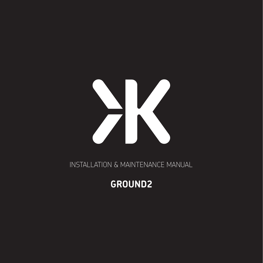

INSTALLATION & MAINTENANCE MANUAL

# **GROUND2**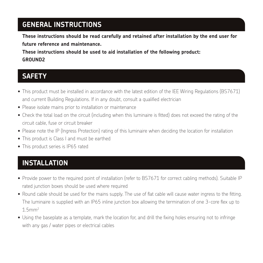## **GENERAL INSTRUCTIONS**

**These instructions should be read carefully and retained after installation by the end user for future reference and maintenance.**

**These instructions should be used to aid installation of the following product: GROUND2**

#### **SAFETY**

- This product must be installed in accordance with the latest edition of the IEE Wiring Regulations (BS7671) and current Building Regulations. If in any doubt, consult a qualified electrician
- Please isolate mains prior to installation or maintenance
- Check the total load on the circuit (including when this luminaire is fitted) does not exceed the rating of the circuit cable, fuse or circuit breaker
- Please note the IP (Ingress Protection) rating of this luminaire when deciding the location for installation
- This product is Class I and must be earthed
- This product series is IP65 rated

# **INSTALLATION**

- Provide power to the required point of installation (refer to BS7671 for correct cabling methods). Suitable IP rated junction boxes should be used where required
- Round cable should be used for the mains supply. The use of flat cable will cause water ingress to the fitting. The luminaire is supplied with an IP65 inline junction box allowing the termination of one 3-core flex up to 1.5mm2
- Using the baseplate as a template, mark the location for, and drill the fixing holes ensuring not to infringe with any gas / water pipes or electrical cables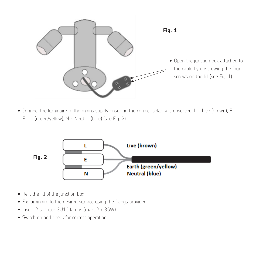

Fig. 1 • Connect the luminaire to the mains supply ensuring the correct polarity is observed: L - Live (brown), E - Earth (green/yellow), N - Neutral (blue) (see Fig. 2)



- Refit the lid of the junction box
- Fix luminaire to the desired surface using the fixings provided
- $\bullet$  Insert 2 suitable GU10 lamps (max. 2 x 35W)
- Switch on and check for correct operation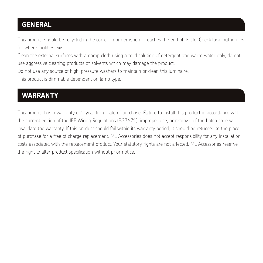## **GENERAL**

This product should be recycled in the correct manner when it reaches the end of its life. Check local authorities for where facilities exist.

Clean the external surfaces with a damp cloth using a mild solution of detergent and warm water only, do not use aggressive cleaning products or solvents which may damage the product.

Do not use any source of high-pressure washers to maintain or clean this luminaire.

This product is dimmable dependent on lamp type.

### **WARRANTY**

This product has a warranty of 1 year from date of purchase. Failure to install this product in accordance with the current edition of the IEE Wiring Regulations (BS7671), improper use, or removal of the batch code will invalidate the warranty. If this product should fail within its warranty period, it should be returned to the place of purchase for a free of charge replacement. ML Accessories does not accept responsibility for any installation costs associated with the replacement product. Your statutory rights are not affected. ML Accessories reserve the right to alter product specification without prior notice.